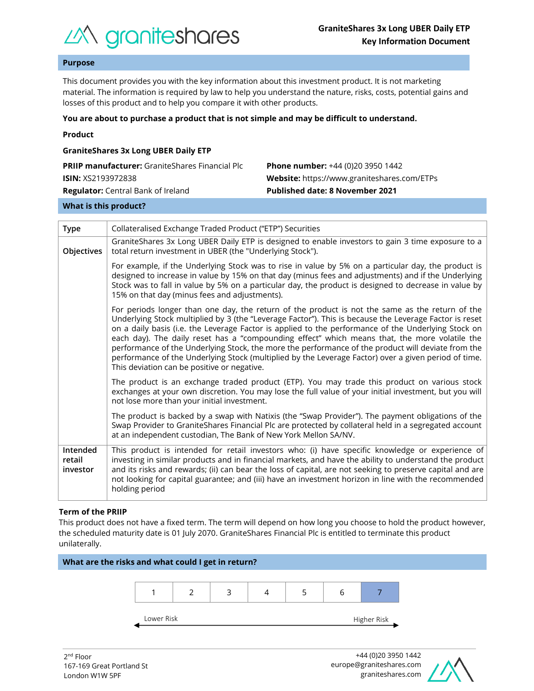

# **Purpose**

This document provides you with the key information about this investment product. It is not marketing material. The information is required by law to help you understand the nature, risks, costs, potential gains and losses of this product and to help you compare it with other products.

#### **You are about to purchase a product that is not simple and may be difficult to understand.**

|  | Product |  |
|--|---------|--|
|  |         |  |

| <b>GraniteShares 3x Long UBER Daily ETP</b>            |                                             |  |  |  |  |
|--------------------------------------------------------|---------------------------------------------|--|--|--|--|
| <b>PRIIP manufacturer:</b> GraniteShares Financial Plc | <b>Phone number:</b> +44 (0)20 3950 1442    |  |  |  |  |
| <b>ISIN:</b> XS2193972838                              | Website: https://www.graniteshares.com/ETPs |  |  |  |  |
| <b>Regulator:</b> Central Bank of Ireland              | <b>Published date: 8 November 2021</b>      |  |  |  |  |
|                                                        |                                             |  |  |  |  |

#### **What is this product?**

| <b>Type</b>                    | Collateralised Exchange Traded Product ("ETP") Securities                                                                                                                                                                                                                                                                                                                                                                                                                                                                                                                                                                                                                      |  |  |  |
|--------------------------------|--------------------------------------------------------------------------------------------------------------------------------------------------------------------------------------------------------------------------------------------------------------------------------------------------------------------------------------------------------------------------------------------------------------------------------------------------------------------------------------------------------------------------------------------------------------------------------------------------------------------------------------------------------------------------------|--|--|--|
| Objectives                     | GraniteShares 3x Long UBER Daily ETP is designed to enable investors to gain 3 time exposure to a<br>total return investment in UBER (the "Underlying Stock").                                                                                                                                                                                                                                                                                                                                                                                                                                                                                                                 |  |  |  |
|                                | For example, if the Underlying Stock was to rise in value by 5% on a particular day, the product is<br>designed to increase in value by 15% on that day (minus fees and adjustments) and if the Underlying<br>Stock was to fall in value by 5% on a particular day, the product is designed to decrease in value by<br>15% on that day (minus fees and adjustments).                                                                                                                                                                                                                                                                                                           |  |  |  |
|                                | For periods longer than one day, the return of the product is not the same as the return of the<br>Underlying Stock multiplied by 3 (the "Leverage Factor"). This is because the Leverage Factor is reset<br>on a daily basis (i.e. the Leverage Factor is applied to the performance of the Underlying Stock on<br>each day). The daily reset has a "compounding effect" which means that, the more volatile the<br>performance of the Underlying Stock, the more the performance of the product will deviate from the<br>performance of the Underlying Stock (multiplied by the Leverage Factor) over a given period of time.<br>This deviation can be positive or negative. |  |  |  |
|                                | The product is an exchange traded product (ETP). You may trade this product on various stock<br>exchanges at your own discretion. You may lose the full value of your initial investment, but you will<br>not lose more than your initial investment.                                                                                                                                                                                                                                                                                                                                                                                                                          |  |  |  |
|                                | The product is backed by a swap with Natixis (the "Swap Provider"). The payment obligations of the<br>Swap Provider to GraniteShares Financial Plc are protected by collateral held in a segregated account<br>at an independent custodian, The Bank of New York Mellon SA/NV.                                                                                                                                                                                                                                                                                                                                                                                                 |  |  |  |
| Intended<br>retail<br>investor | This product is intended for retail investors who: (i) have specific knowledge or experience of<br>investing in similar products and in financial markets, and have the ability to understand the product<br>and its risks and rewards; (ii) can bear the loss of capital, are not seeking to preserve capital and are<br>not looking for capital guarantee; and (iii) have an investment horizon in line with the recommended<br>holding period                                                                                                                                                                                                                               |  |  |  |

## **Term of the PRIIP**

This product does not have a fixed term. The term will depend on how long you choose to hold the product however, the scheduled maturity date is 01 July 2070. GraniteShares Financial Plc is entitled to terminate this product unilaterally.



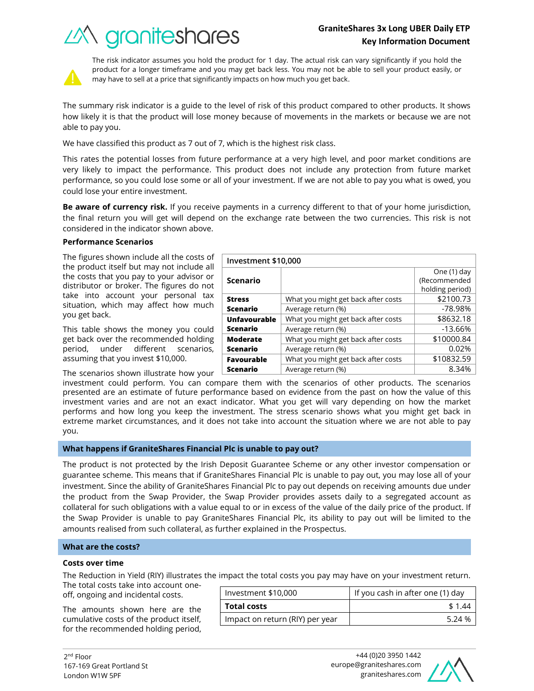# **GraniteShares 3x Long UBER Daily ETP Key Information Document**

What you might get back after costs  $\sim$  \$2100.73 Average return (%) and the set of the set of the set of the set of the set of the set of the set of the set of the set of the set of the set of the set of the set of the set of the set of the set of the set of the set of t

What you might get back after costs | \$8632.18 Average return (%) and the set of the set of the set of the set of the set of the set of the set of the set of the set of the set of the set of the set of the set of the set of the set of the set of the set of the set of t

What you might get back after costs | \$10000.84





The risk indicator assumes you hold the product for 1 day. The actual risk can vary significantly if you hold the product for a longer timeframe and you may get back less. You may not be able to sell your product easily, or may have to sell at a price that significantly impacts on how much you get back.

The summary risk indicator is a guide to the level of risk of this product compared to other products. It shows how likely it is that the product will lose money because of movements in the markets or because we are not able to pay you.

We have classified this product as 7 out of 7, which is the highest risk class.

This rates the potential losses from future performance at a very high level, and poor market conditions are very likely to impact the performance. This product does not include any protection from future market performance, so you could lose some or all of your investment. If we are not able to pay you what is owed, you could lose your entire investment.

**Be aware of currency risk.** If you receive payments in a currency different to that of your home jurisdiction, the final return you will get will depend on the exchange rate between the two currencies. This risk is not considered in the indicator shown above.

**Investment \$10,000**

**Scenario**

**Unfavourable Scenario**

**Moderate** 

**Stress Scenario**

# **Performance Scenarios**

The figures shown include all the costs of the product itself but may not include all the costs that you pay to your advisor or distributor or broker. The figures do not take into account your personal tax situation, which may affect how much you get back.

This table shows the money you could get back over the recommended holding period, under different scenarios, assuming that you invest \$10,000.

The scenarios shown illustrate how your

investment could perform. You can compare them with the scenarios of other products. The scenarios presented are an estimate of future performance based on evidence from the past on how the value of this investment varies and are not an exact indicator. What you get will vary depending on how the market performs and how long you keep the investment. The stress scenario shows what you might get back in extreme market circumstances, and it does not take into account the situation where we are not able to pay **Scenario** Average return (%) and the control of the control of  $\sim 0.02\%$ **Favourable Scenario** What you might get back after costs  $\vert$  \$10832.59 Average return (%) and the set of the set of the set of the set of the set of the set of the set of the set of the set of the set of the set of the set of the set of the set of the set of the set of the set of the set of t

**What happens if GraniteShares Financial Plc is unable to pay out?**

The product is not protected by the Irish Deposit Guarantee Scheme or any other investor compensation or guarantee scheme. This means that if GraniteShares Financial Plc is unable to pay out, you may lose all of your investment. Since the ability of GraniteShares Financial Plc to pay out depends on receiving amounts due under the product from the Swap Provider, the Swap Provider provides assets daily to a segregated account as collateral for such obligations with a value equal to or in excess of the value of the daily price of the product. If the Swap Provider is unable to pay GraniteShares Financial Plc, its ability to pay out will be limited to the amounts realised from such collateral, as further explained in the Prospectus.

## **What are the costs?**

## **Costs over time**

you.

The Reduction in Yield (RIY) illustrates the impact the total costs you pay may have on your investment return.

The total costs take into account oneoff, ongoing and incidental costs.

The amounts shown here are the cumulative costs of the product itself, for the recommended holding period,

|                    | Investment \$10,000             | If you cash in after one (1) day |  |
|--------------------|---------------------------------|----------------------------------|--|
| <b>Total costs</b> |                                 | \$1.44                           |  |
|                    | Impact on return (RIY) per year | 5.24 %                           |  |



One (1) day (Recommended holding period)